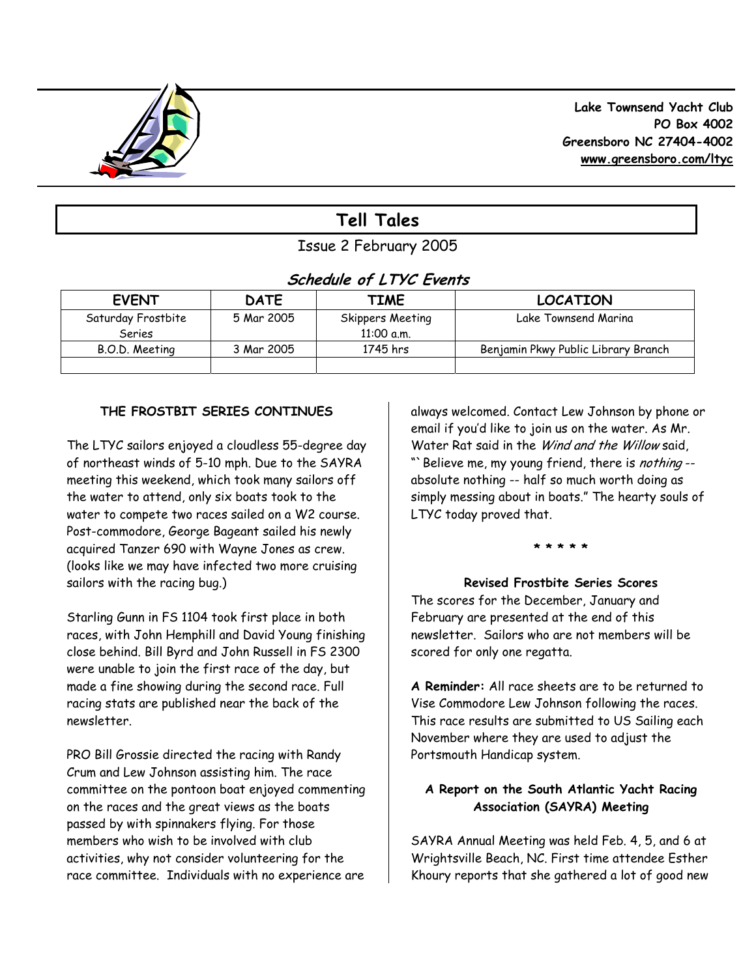

# **Tell Tales**

## Issue 2 February 2005

## **Schedule of LTYC Events**

| <b>EVENT</b>                 | <b>DATE</b> | TIME                             | <b>LOCATION</b>                     |
|------------------------------|-------------|----------------------------------|-------------------------------------|
| Saturday Frostbite<br>Series | 5 Mar 2005  | Skippers Meeting<br>$11:00$ a.m. | Lake Townsend Marina                |
| B.O.D. Meeting               | 3 Mar 2005  | 1745 hrs                         | Benjamin Pkwy Public Library Branch |
|                              |             |                                  |                                     |

## **THE FROSTBIT SERIES CONTINUES**

The LTYC sailors enjoyed a cloudless 55-degree day of northeast winds of 5-10 mph. Due to the SAYRA meeting this weekend, which took many sailors off the water to attend, only six boats took to the water to compete two races sailed on a W2 course. Post-commodore, George Bageant sailed his newly acquired Tanzer 690 with Wayne Jones as crew. (looks like we may have infected two more cruising sailors with the racing bug.)

Starling Gunn in FS 1104 took first place in both races, with John Hemphill and David Young finishing close behind. Bill Byrd and John Russell in FS 2300 were unable to join the first race of the day, but made a fine showing during the second race. Full racing stats are published near the back of the newsletter.

PRO Bill Grossie directed the racing with Randy Crum and Lew Johnson assisting him. The race committee on the pontoon boat enjoyed commenting on the races and the great views as the boats passed by with spinnakers flying. For those members who wish to be involved with club activities, why not consider volunteering for the race committee. Individuals with no experience are

always welcomed. Contact Lew Johnson by phone or email if you'd like to join us on the water. As Mr. Water Rat said in the Wind and the Willow said, "> Believe me, my young friend, there is nothing -absolute nothing -- half so much worth doing as simply messing about in boats." The hearty souls of LTYC today proved that.

### **\* \* \* \* \***

### **Revised Frostbite Series Scores**

The scores for the December, January and February are presented at the end of this newsletter. Sailors who are not members will be scored for only one regatta.

**A Reminder:** All race sheets are to be returned to Vise Commodore Lew Johnson following the races. This race results are submitted to US Sailing each November where they are used to adjust the Portsmouth Handicap system.

### **A Report on the South Atlantic Yacht Racing Association (SAYRA) Meeting**

SAYRA Annual Meeting was held Feb. 4, 5, and 6 at Wrightsville Beach, NC. First time attendee Esther Khoury reports that she gathered a lot of good new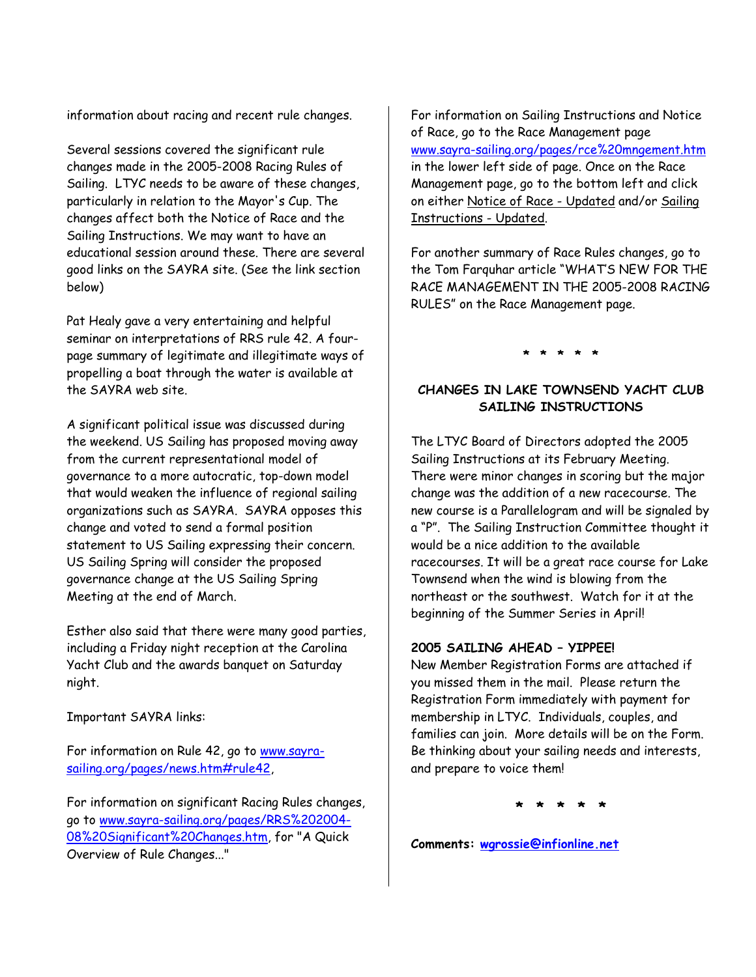information about racing and recent rule changes.

Several sessions covered the significant rule changes made in the 2005-2008 Racing Rules of Sailing. LTYC needs to be aware of these changes, particularly in relation to the Mayor's Cup. The changes affect both the Notice of Race and the Sailing Instructions. We may want to have an educational session around these. There are several good links on the SAYRA site. (See the link section below)

Pat Healy gave a very entertaining and helpful seminar on interpretations of RRS rule 42. A fourpage summary of legitimate and illegitimate ways of propelling a boat through the water is available at the SAYRA web site.

A significant political issue was discussed during the weekend. US Sailing has proposed moving away from the current representational model of governance to a more autocratic, top-down model that would weaken the influence of regional sailing organizations such as SAYRA. SAYRA opposes this change and voted to send a formal position statement to US Sailing expressing their concern. US Sailing Spring will consider the proposed governance change at the US Sailing Spring Meeting at the end of March.

Esther also said that there were many good parties, including a Friday night reception at the Carolina Yacht Club and the awards banquet on Saturday night.

Important SAYRA links:

For information on Rule 42, go to www.sayrasailing.org/pages/news.htm#rule42,

For information on significant Racing Rules changes, go to www.sayra-sailing.org/pages/RRS%202004- 08%20Significant%20Changes.htm, for "A Quick Overview of Rule Changes..."

For information on Sailing Instructions and Notice of Race, go to the Race Management page www.sayra-sailing.org/pages/rce%20mngement.htm in the lower left side of page. Once on the Race Management page, go to the bottom left and click on either Notice of Race - Updated and/or Sailing Instructions - Updated.

For another summary of Race Rules changes, go to the Tom Farquhar article "WHAT'S NEW FOR THE RACE MANAGEMENT IN THE 2005-2008 RACING RULES" on the Race Management page.

**\* \* \* \* \*** 

## **CHANGES IN LAKE TOWNSEND YACHT CLUB SAILING INSTRUCTIONS**

The LTYC Board of Directors adopted the 2005 Sailing Instructions at its February Meeting. There were minor changes in scoring but the major change was the addition of a new racecourse. The new course is a Parallelogram and will be signaled by a "P". The Sailing Instruction Committee thought it would be a nice addition to the available racecourses. It will be a great race course for Lake Townsend when the wind is blowing from the northeast or the southwest. Watch for it at the beginning of the Summer Series in April!

### **2005 SAILING AHEAD – YIPPEE!**

New Member Registration Forms are attached if you missed them in the mail. Please return the Registration Form immediately with payment for membership in LTYC. Individuals, couples, and families can join. More details will be on the Form. Be thinking about your sailing needs and interests, and prepare to voice them!

**\* \* \* \* \*** 

**Comments: wgrossie@infionline.net**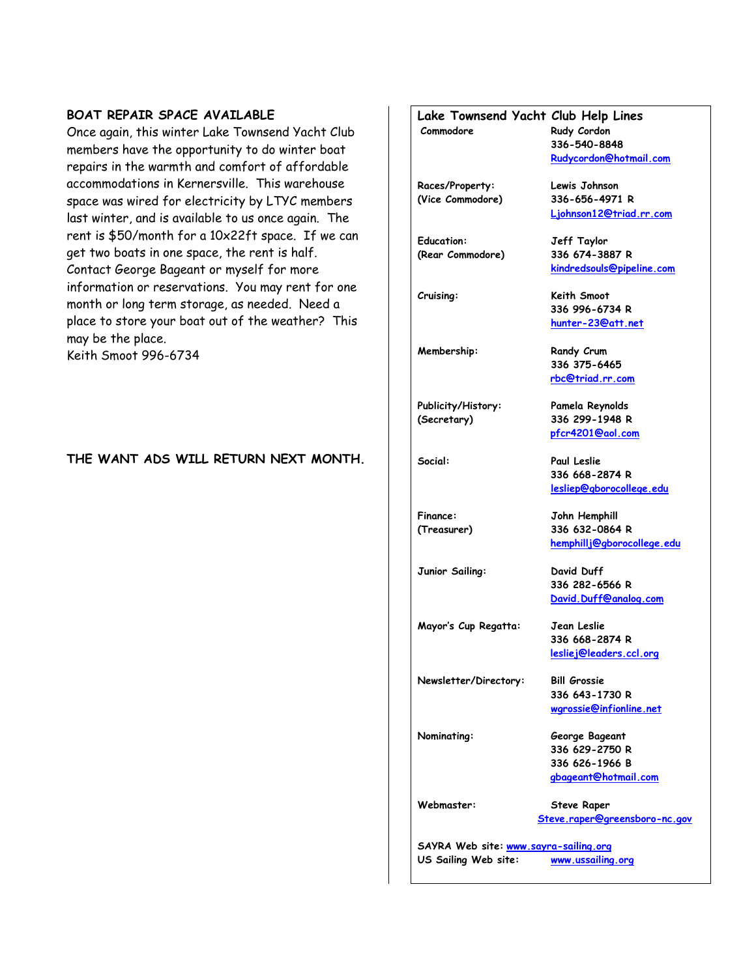#### **BOAT REPAIR SPACE AVAILABLE**

Once again, this winter Lake Townsend Yacht Club members have the opportunity to do winter boat repairs in the warmth and comfort of affordable accommodations in Kernersville. This warehouse space was wired for electricity by LTYC members last winter, and is available to us once again. The rent is \$50/month for a 10x22ft space. If we can get two boats in one space, the rent is half. Contact George Bageant or myself for more information or reservations. You may rent for one month or long term storage, as needed. Need a place to store your boat out of the weather? This may be the place. Keith Smoot 996-6734

#### **THE WANT ADS WILL RETURN NEXT MONTH.**

## **Lake Townsend Yacht Club Help Lines Commodore Rudy Cordon 336-540-8848 Rudycordon@hotmail.com Races/Property: Lewis Johnson (Vice Commodore) 336-656-4971 R Ljohnson12@triad.rr.com Education: Jeff Taylor (Rear Commodore) 336 674-3887 R kindredsouls@pipeline.com Cruising: Keith Smoot 336 996-6734 R hunter-23@att.net Membership:** Randy Crum  **336 375-6465 rbc@triad.rr.com Publicity/History: Pamela Reynolds (Secretary) 336 299-1948 R pfcr4201@aol.com Social: Paul Leslie 336 668-2874 R lesliep@gborocollege.edu Finance: John Hemphill (Treasurer) 336 632-0864 R hemphillj@gborocollege.edu Junior Sailing: David Duff 336 282-6566 R David.Duff@analog.com Mayor's Cup Regatta: Jean Leslie 336 668-2874 R lesliej@leaders.ccl.org Newsletter/Directory: Bill Grossie 336 643-1730 R wgrossie@infionline.net Nominating: George Bageant 336 629-2750 R 336 626-1966 B gbageant@hotmail.com Webmaster: Steve Raper Steve.raper@greensboro-nc.gov SAYRA Web site: www.sayra-sailing.org**

**US Sailing Web site: www.ussailing.org**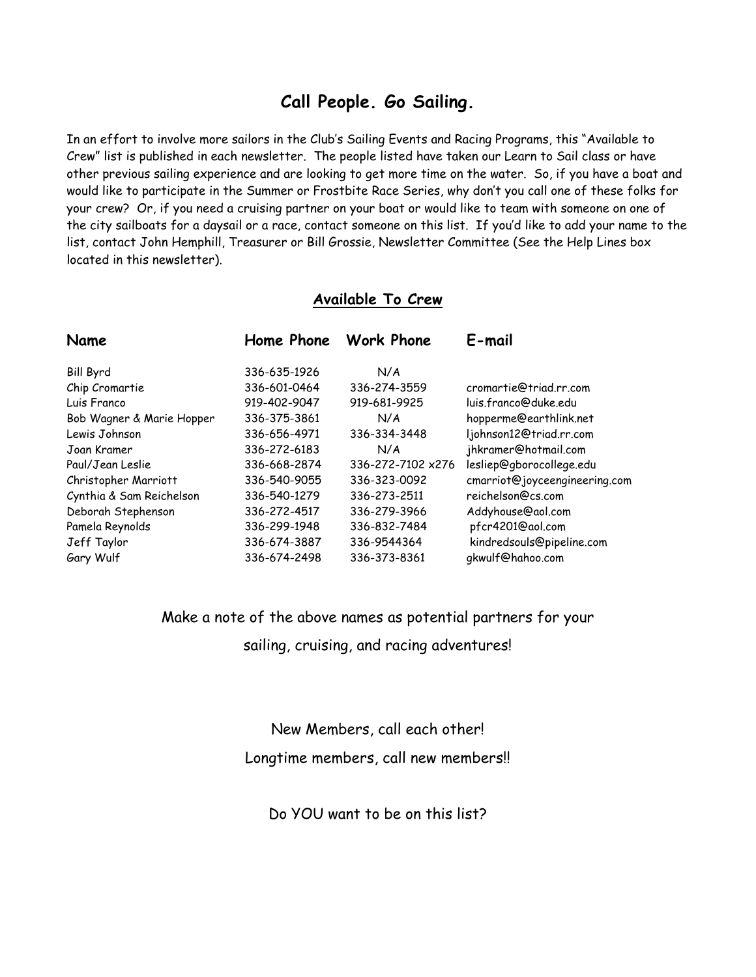## **Call People. Go Sailing.**

In an effort to involve more sailors in the Club's Sailing Events and Racing Programs, this "Available to Crew" list is published in each newsletter. The people listed have taken our Learn to Sail class or have other previous sailing experience and are looking to get more time on the water. So, if you have a boat and would like to participate in the Summer or Frostbite Race Series, why don't you call one of these folks for your crew? Or, if you need a cruising partner on your boat or would like to team with someone on one of the city sailboats for a daysail or a race, contact someone on this list. If you'd like to add your name to the list, contact John Hemphill, Treasurer or Bill Grossie, Newsletter Committee (See the Help Lines box located in this newsletter).

## **Available To Crew**

| Name                      |              | Home Phone Work Phone | E-mail                        |  |
|---------------------------|--------------|-----------------------|-------------------------------|--|
| <b>Bill Byrd</b>          | 336-635-1926 | N/A                   |                               |  |
| Chip Cromartie            | 336-601-0464 | 336-274-3559          | cromartie@triad.rr.com        |  |
| Luis Franco               | 919-402-9047 | 919-681-9925          | luis.franco@duke.edu          |  |
| Bob Wagner & Marie Hopper | 336-375-3861 | N/A                   | hopperme@earthlink.net        |  |
| Lewis Johnson             | 336-656-4971 | 336-334-3448          | ljohnson12@triad.rr.com       |  |
| Joan Kramer               | 336-272-6183 | N/A                   | jhkramer@hotmail.com          |  |
| Paul/Jean Leslie          | 336-668-2874 | 336-272-7102 x276     | lesliep@gborocollege.edu      |  |
| Christopher Marriott      | 336-540-9055 | 336-323-0092          | cmarriot@joyceengineering.com |  |
| Cynthia & Sam Reichelson  | 336-540-1279 | 336-273-2511          | reichelson@cs.com             |  |
| Deborah Stephenson        | 336-272-4517 | 336-279-3966          | Addyhouse@aol.com             |  |
| Pamela Reynolds           | 336-299-1948 | 336-832-7484          | pfcr4201@aol.com              |  |
| Jeff Taylor               | 336-674-3887 | 336-9544364           | kindredsouls@pipeline.com     |  |
| Gary Wulf                 | 336-674-2498 | 336-373-8361          | gkwulf@hahoo.com              |  |

Make a note of the above names as potential partners for your sailing, cruising, and racing adventures!

New Members, call each other!

Longtime members, call new members!!

Do YOU want to be on this list?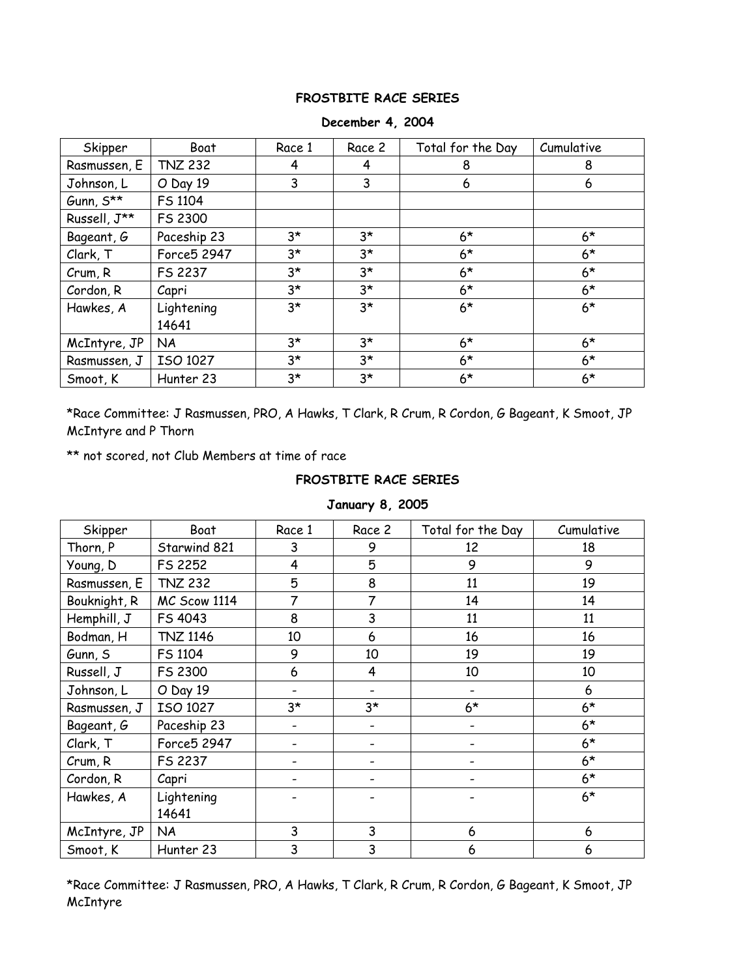#### **FROSTBITE RACE SERIES**

| Skipper                   | Boat                | Race 1      | Race 2      | Total for the Day | Cumulative |
|---------------------------|---------------------|-------------|-------------|-------------------|------------|
| Rasmussen, E              | <b>TNZ 232</b>      | 4           | 4           | 8                 | 8          |
| Johnson, L                | O Day 19            | 3           | 3           | 6                 | 6          |
| Gunn, $S^{\star\star}$    | FS 1104             |             |             |                   |            |
| Russell, $J^{\star\star}$ | FS 2300             |             |             |                   |            |
| Bageant, G                | Paceship 23         | $3^{\star}$ | $3^{\star}$ | $6*$              | $6*$       |
| Clark, T                  | Force5 2947         | $3^{\star}$ | $3*$        | $6*$              | $6*$       |
| Crum, R                   | FS 2237             | $3^{\star}$ | $3^{\star}$ | $6*$              | $6*$       |
| Cordon, R                 | Capri               | 3*          | $3^{\star}$ | $6*$              | $6*$       |
| Hawkes, A                 | Lightening<br>14641 | $3*$        | $3*$        | $6*$              | $6*$       |
| McIntyre, JP              | <b>NA</b>           | $3^{\star}$ | $3^{\star}$ | $6*$              | $6*$       |
| Rasmussen, J              | ISO 1027            | $3^{\star}$ | $3*$        | $6*$              | $6*$       |
| Smoot, K                  | Hunter 23           | 3*          | $3^{\star}$ | $6*$              | $6*$       |

#### **December 4, 2004**

\*Race Committee: J Rasmussen, PRO, A Hawks, T Clark, R Crum, R Cordon, G Bageant, K Smoot, JP McIntyre and P Thorn

\*\* not scored, not Club Members at time of race

#### **FROSTBITE RACE SERIES**

| Skipper      | Boat            | Race 1 | Race 2 | Total for the Day | Cumulative |
|--------------|-----------------|--------|--------|-------------------|------------|
| Thorn, P     | Starwind 821    | 3      | 9      | 12                | 18         |
| Young, D     | FS 2252         | 4      | 5      | 9                 | 9          |
| Rasmussen, E | <b>TNZ 232</b>  | 5      | 8      | 11                | 19         |
| Bouknight, R | MC Scow 1114    | 7      | 7      | 14                | 14         |
| Hemphill, J  | FS 4043         | 8      | 3      | 11                | 11         |
| Bodman, H    | <b>TNZ 1146</b> | 10     | 6      | 16                | 16         |
| Gunn, S      | FS 1104         | 9      | 10     | 19                | 19         |
| Russell, J   | FS 2300         | 6      | 4      | 10                | 10         |
| Johnson, L   | O Day 19        |        |        |                   | 6          |
| Rasmussen, J | ISO 1027        | 3*     | $3*$   | $6*$              | $6*$       |
| Bageant, G   | Paceship 23     |        |        |                   | $6*$       |
| Clark, T     | Force5 2947     |        |        |                   | $6*$       |
| Crum, R      | FS 2237         |        |        |                   | $6*$       |
| Cordon, R    | Capri           |        |        |                   | $6*$       |
| Hawkes, A    | Lightening      |        |        |                   | $6*$       |
|              | 14641           |        |        |                   |            |
| McIntyre, JP | <b>NA</b>       | 3      | 3      | 6                 | 6          |
| Smoot, K     | Hunter 23       | 3      | 3      | 6                 | 6          |

### **January 8, 2005**

\*Race Committee: J Rasmussen, PRO, A Hawks, T Clark, R Crum, R Cordon, G Bageant, K Smoot, JP McIntyre